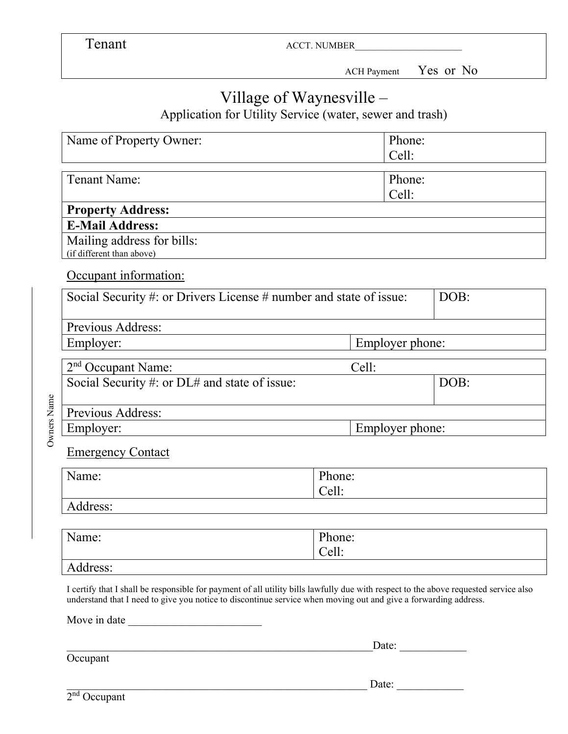Tenant ACCT. NUMBER

ACH Payment Yes or No

## Village of Waynesville –

Application for Utility Service (water, sewer and trash)

|             | Name of Property Owner:                                                                                                                                                                                                                                 |                 |  | Phone:<br>Cell: |      |
|-------------|---------------------------------------------------------------------------------------------------------------------------------------------------------------------------------------------------------------------------------------------------------|-----------------|--|-----------------|------|
|             | <b>Tenant Name:</b>                                                                                                                                                                                                                                     |                 |  | Phone:<br>Cell: |      |
|             | <b>Property Address:</b>                                                                                                                                                                                                                                |                 |  |                 |      |
|             | <b>E-Mail Address:</b>                                                                                                                                                                                                                                  |                 |  |                 |      |
|             | Mailing address for bills:<br>(if different than above)                                                                                                                                                                                                 |                 |  |                 |      |
|             | Occupant information:                                                                                                                                                                                                                                   |                 |  |                 |      |
|             | Social Security #: or Drivers License # number and state of issue:<br>DOB:                                                                                                                                                                              |                 |  |                 |      |
|             | Previous Address:                                                                                                                                                                                                                                       |                 |  |                 |      |
|             | Employer:                                                                                                                                                                                                                                               | Employer phone: |  |                 |      |
|             | Cell:<br>2 <sup>nd</sup> Occupant Name:                                                                                                                                                                                                                 |                 |  |                 |      |
|             | Social Security #: or DL# and state of issue:                                                                                                                                                                                                           |                 |  |                 | DOB: |
| Owners Name | Previous Address:                                                                                                                                                                                                                                       |                 |  |                 |      |
|             | Employer phone:<br>Employer:                                                                                                                                                                                                                            |                 |  |                 |      |
|             | <b>Emergency Contact</b>                                                                                                                                                                                                                                |                 |  |                 |      |
|             | Name:                                                                                                                                                                                                                                                   | Phone:<br>Cell: |  |                 |      |
|             | Address:                                                                                                                                                                                                                                                |                 |  |                 |      |
|             |                                                                                                                                                                                                                                                         |                 |  |                 |      |
|             | Phone:<br>Name:<br>Cell:                                                                                                                                                                                                                                |                 |  |                 |      |
|             |                                                                                                                                                                                                                                                         |                 |  |                 |      |
|             | Address:                                                                                                                                                                                                                                                |                 |  |                 |      |
|             | I certify that I shall be responsible for payment of all utility bills lawfully due with respect to the above requested service also<br>understand that I need to give you notice to discontinue service when moving out and give a forwarding address. |                 |  |                 |      |
|             | Move in date                                                                                                                                                                                                                                            |                 |  |                 |      |
|             | Date: $\qquad \qquad$                                                                                                                                                                                                                                   |                 |  |                 |      |
|             | Occupant                                                                                                                                                                                                                                                |                 |  |                 |      |

 $\Box$  Date: